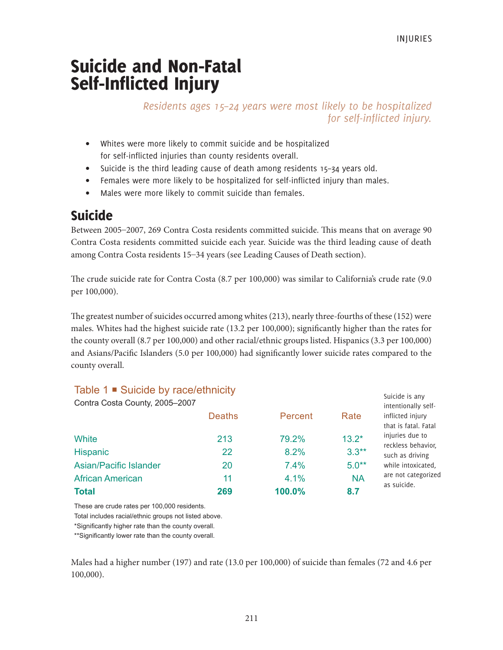# Suicide and Non-Fatal Self-Inflicted Injury

# *Residents ages 15–24 years were most likely to be hospitalized for self-inflicted injury.*

- Whites were more likely to commit suicide and be hospitalized for self-inflicted injuries than county residents overall.
- Suicide is the third leading cause of death among residents 15–34 years old.
- Females were more likely to be hospitalized for self-inflicted injury than males.
- Males were more likely to commit suicide than females.

# Suicide

Between 2005–2007, 269 Contra Costa residents committed suicide. This means that on average 90 Contra Costa residents committed suicide each year. Suicide was the third leading cause of death among Contra Costa residents 15–34 years (see Leading Causes of Death section).

The crude suicide rate for Contra Costa (8.7 per 100,000) was similar to California's crude rate (9.0 per 100,000).

The greatest number of suicides occurred among whites (213), nearly three-fourths of these (152) were males. Whites had the highest suicide rate (13.2 per 100,000); significantly higher than the rates for the county overall (8.7 per 100,000) and other racial/ethnic groups listed. Hispanics (3.3 per 100,000) and Asians/Pacific Islanders (5.0 per 100,000) had significantly lower suicide rates compared to the county overall.

# Table 1 **■** Suicide by race/ethnicity

| <b>Total</b>                                  | 269           | 100.0%  | 8.7       |                                                                 |
|-----------------------------------------------|---------------|---------|-----------|-----------------------------------------------------------------|
| <b>African American</b>                       | 11            | 4.1%    | <b>NA</b> | are not categorized<br>as suicide.                              |
| <b>Asian/Pacific Islander</b>                 | 20            | 7.4%    | $5.0**$   | while intoxicated.                                              |
| <b>Hispanic</b>                               | 22            | 8.2%    | $3.3**$   | such as driving                                                 |
| White                                         | 213           | 79.2%   | $13.2*$   | injuries due to<br>reckless behavior,                           |
| Contra Costa County, 2005-2007                | <b>Deaths</b> | Percent | Rate      | intentionally self-<br>inflicted injury<br>that is fatal. Fatal |
| $\mu$ rable $\mu$ – ouigide by race/edimicity |               |         |           | Suicide is any                                                  |

These are crude rates per 100,000 residents.

Total includes racial/ethnic groups not listed above.

\*\*Significantly lower rate than the county overall.

Males had a higher number (197) and rate (13.0 per 100,000) of suicide than females (72 and 4.6 per 100,000).

<sup>\*</sup>Significantly higher rate than the county overall.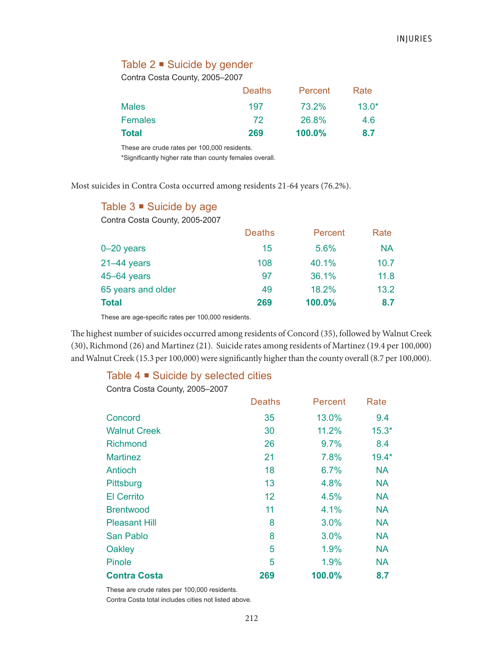# Table 2 ■ Suicide by gender

Contra Costa County, 2005–2007

|                | <b>Deaths</b> | Percent   | Rate    |
|----------------|---------------|-----------|---------|
| <b>Males</b>   | 197           | 73.2%     | $13.0*$ |
| <b>Females</b> | 72            | 26.8%     | 4.6     |
| <b>Total</b>   | 269           | $100.0\%$ | 8.7     |

These are crude rates per 100,000 residents.

\*Significantly higher rate than county females overall.

Most suicides in Contra Costa occurred among residents 21-64 years (76.2%).

| Table 3 • Suicide by age |  |  |
|--------------------------|--|--|
|--------------------------|--|--|

Contra Costa County, 2005-2007

| <b>Deaths</b> | Percent | Rate      |
|---------------|---------|-----------|
| 15            | 5.6%    | <b>NA</b> |
| 108           | 40.1%   | 10.7      |
| 97            | 36.1%   | 11.8      |
| 49            | 18.2%   | 13.2      |
| 269           | 100.0%  | 8.7       |
|               |         |           |

These are age-specific rates per 100,000 residents.

The highest number of suicides occurred among residents of Concord (35), followed by Walnut Creek (30), Richmond (26) and Martinez (21). Suicide rates among residents of Martinez (19.4 per 100,000) and Walnut Creek (15.3 per 100,000) were significantly higher than the county overall (8.7 per 100,000).

## Table  $4 \blacksquare$  Suicide by selected cities

Contra Costa County, 2005–2007

|                      | <b>Deaths</b> | Percent | Rate      |
|----------------------|---------------|---------|-----------|
| Concord              | 35            | 13.0%   | 9.4       |
| <b>Walnut Creek</b>  | 30            | 11.2%   | $15.3*$   |
| <b>Richmond</b>      | 26            | 9.7%    | 8.4       |
| <b>Martinez</b>      | 21            | 7.8%    | $19.4*$   |
| Antioch              | 18            | 6.7%    | <b>NA</b> |
| Pittsburg            | 13            | 4.8%    | <b>NA</b> |
| <b>El Cerrito</b>    | 12            | 4.5%    | <b>NA</b> |
| <b>Brentwood</b>     | 11            | 4.1%    | <b>NA</b> |
| <b>Pleasant Hill</b> | 8             | 3.0%    | <b>NA</b> |
| San Pablo            | 8             | 3.0%    | <b>NA</b> |
| Oakley               | 5             | 1.9%    | <b>NA</b> |
| Pinole               | 5             | 1.9%    | <b>NA</b> |
| <b>Contra Costa</b>  | 269           | 100.0%  | 8.7       |

These are crude rates per 100,000 residents.

Contra Costa total includes cities not listed above.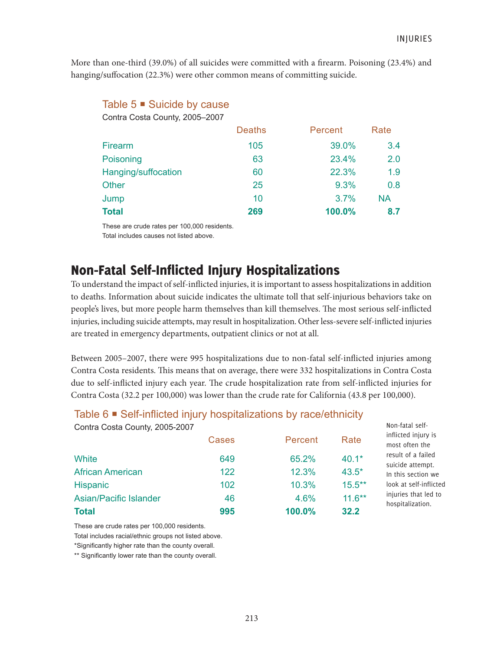More than one-third (39.0%) of all suicides were committed with a firearm. Poisoning (23.4%) and hanging/suffocation (22.3%) were other common means of committing suicide.

# Table  $5 \equiv$  Suicide by cause

Contra Costa County, 2005–2007

|                     | <b>Deaths</b> | Percent | Rate      |
|---------------------|---------------|---------|-----------|
| Firearm             | 105           | 39.0%   | 3.4       |
| Poisoning           | 63            | 23.4%   | 2.0       |
| Hanging/suffocation | 60            | 22.3%   | 1.9       |
| Other               | 25            | 9.3%    | 0.8       |
| Jump                | 10            | 3.7%    | <b>NA</b> |
| <b>Total</b>        | 269           | 100.0%  | 8.7       |

These are crude rates per 100,000 residents. Total includes causes not listed above.

# Non-Fatal Self-Inflicted Injury Hospitalizations

To understand the impact of self-inflicted injuries, it is important to assess hospitalizations in addition to deaths. Information about suicide indicates the ultimate toll that self-injurious behaviors take on people's lives, but more people harm themselves than kill themselves. The most serious self-inflicted injuries, including suicide attempts, may result in hospitalization. Other less-severe self-inflicted injuries are treated in emergency departments, outpatient clinics or not at all.

Between 2005–2007, there were 995 hospitalizations due to non-fatal self-inflicted injuries among Contra Costa residents. This means that on average, there were 332 hospitalizations in Contra Costa due to self-inflicted injury each year. The crude hospitalization rate from self-inflicted injuries for Contra Costa (32.2 per 100,000) was lower than the crude rate for California (43.8 per 100,000).

# Table 6 ■ Self-inflicted injury hospitalizations by race/ethnicity

| <b>Hispanic</b><br><b>Asian/Pacific Islander</b> | 102<br>46    | 10.3%<br>4.6% | $15.5***$<br>$11.6***$ | look at self-inflicted<br>injuries that led to           |
|--------------------------------------------------|--------------|---------------|------------------------|----------------------------------------------------------|
| <b>African American</b>                          | 122          | 12.3%         | $43.5*$                | In this section we                                       |
| White                                            | 649          | 65.2%         | $40.1*$                | result of a failed<br>suicide attempt.                   |
| Contra Costa County, 2005-2007                   | <b>Cases</b> | Percent       | Rate                   | Non-fatal self-<br>inflicted injury is<br>most often the |

These are crude rates per 100,000 residents.

Total includes racial/ethnic groups not listed above.

\*Significantly higher rate than the county overall.

\*\* Significantly lower rate than the county overall.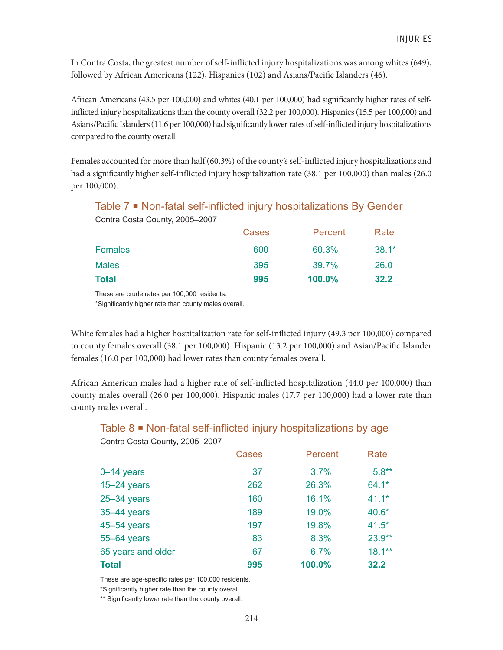In Contra Costa, the greatest number of self-inflicted injury hospitalizations was among whites (649), followed by African Americans (122), Hispanics (102) and Asians/Pacific Islanders (46).

African Americans (43.5 per 100,000) and whites (40.1 per 100,000) had significantly higher rates of selfinflicted injury hospitalizations than the county overall (32.2 per 100,000). Hispanics (15.5 per 100,000) and Asians/Pacific Islanders (11.6 per 100,000) had significantly lower rates of self-inflicted injury hospitalizations compared to the county overall.

Females accounted for more than half (60.3%) of the county's self-inflicted injury hospitalizations and had a significantly higher self-inflicted injury hospitalization rate (38.1 per 100,000) than males (26.0 per 100,000).

Table 7 <sup>■</sup> Non-fatal self-inflicted injury hospitalizations By Gender

| <b>Total</b>                   | 995   | 100.0%  | 32.2    |
|--------------------------------|-------|---------|---------|
| <b>Males</b>                   | 395   | 39.7%   | 26.0    |
| <b>Females</b>                 | 600   | 60.3%   | $38.1*$ |
|                                | Cases | Percent | Rate    |
| Contra Costa County, 2005-2007 |       |         |         |

These are crude rates per 100,000 residents.

\*Significantly higher rate than county males overall.

White females had a higher hospitalization rate for self-inflicted injury (49.3 per 100,000) compared to county females overall (38.1 per 100,000). Hispanic (13.2 per 100,000) and Asian/Pacific Islander females (16.0 per 100,000) had lower rates than county females overall.

African American males had a higher rate of self-inflicted hospitalization (44.0 per 100,000) than county males overall (26.0 per 100,000). Hispanic males (17.7 per 100,000) had a lower rate than county males overall.

# Table 8 Non-fatal self-inflicted injury hospitalizations by age Contra Costa County, 2005–2007

|                    | <b>Cases</b> | Percent | Rate      |
|--------------------|--------------|---------|-----------|
| $0-14$ years       | 37           | 3.7%    | $5.8**$   |
| $15 - 24$ years    | 262          | 26.3%   | $64.1*$   |
| $25 - 34$ years    | 160          | 16.1%   | $41.1*$   |
| 35-44 years        | 189          | 19.0%   | $40.6*$   |
| 45-54 years        | 197          | 19.8%   | $41.5*$   |
| 55-64 years        | 83           | 8.3%    | $23.9**$  |
| 65 years and older | 67           | 6.7%    | $18.1***$ |
| <b>Total</b>       | 995          | 100.0%  | 32.2      |

These are age-specific rates per 100,000 residents.

\*Significantly higher rate than the county overall.

\*\* Significantly lower rate than the county overall.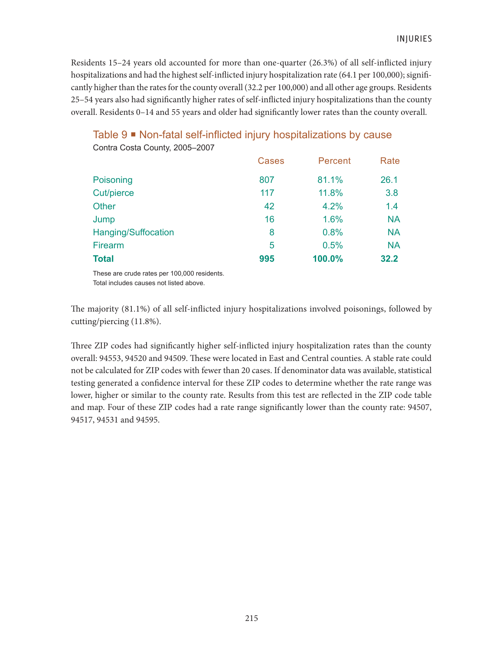Residents 15–24 years old accounted for more than one-quarter (26.3%) of all self-inflicted injury hospitalizations and had the highest self-inflicted injury hospitalization rate (64.1 per 100,000); significantly higher than the rates for the county overall (32.2 per 100,000) and all other age groups. Residents 25–54 years also had significantly higher rates of self-inflicted injury hospitalizations than the county overall. Residents 0–14 and 55 years and older had significantly lower rates than the county overall.

# Table 9 Non-fatal self-inflicted injury hospitalizations by cause

|                     | <b>Cases</b> | Percent | Rate      |
|---------------------|--------------|---------|-----------|
| Poisoning           | 807          | 81.1%   | 26.1      |
| Cut/pierce          | 117          | 11.8%   | 3.8       |
| Other               | 42           | 4.2%    | 1.4       |
| Jump                | 16           | 1.6%    | <b>NA</b> |
| Hanging/Suffocation | 8            | 0.8%    | <b>NA</b> |
| Firearm             | 5            | 0.5%    | <b>NA</b> |
| <b>Total</b>        | 995          | 100.0%  | 32.2      |

Contra Costa County, 2005–2007

These are crude rates per 100,000 residents.

Total includes causes not listed above.

The majority (81.1%) of all self-inflicted injury hospitalizations involved poisonings, followed by cutting/piercing (11.8%).

Three ZIP codes had significantly higher self-inflicted injury hospitalization rates than the county overall: 94553, 94520 and 94509. These were located in East and Central counties. A stable rate could not be calculated for ZIP codes with fewer than 20 cases. If denominator data was available, statistical testing generated a confidence interval for these ZIP codes to determine whether the rate range was lower, higher or similar to the county rate. Results from this test are reflected in the ZIP code table and map. Four of these ZIP codes had a rate range significantly lower than the county rate: 94507, 94517, 94531 and 94595.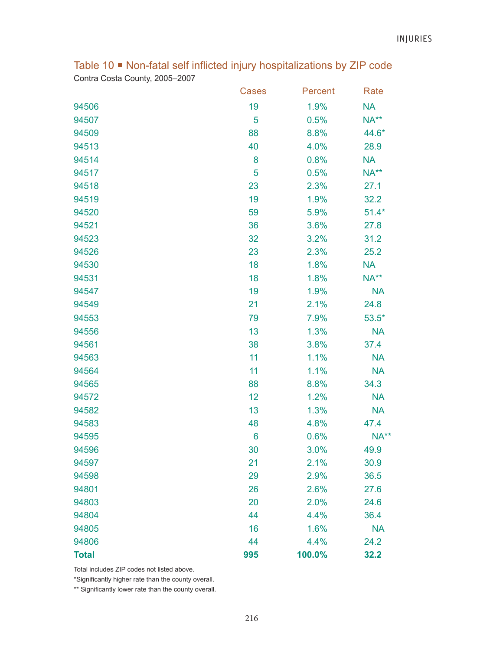Table 10  $\blacksquare$  Non-fatal self inflicted injury hospitalizations by ZIP code Contra Costa County, 2005–2007

|              | <b>Cases</b> | Percent | Rate      |
|--------------|--------------|---------|-----------|
| 94506        | 19           | 1.9%    | <b>NA</b> |
| 94507        | 5            | 0.5%    | NA**      |
| 94509        | 88           | 8.8%    | 44.6*     |
| 94513        | 40           | 4.0%    | 28.9      |
| 94514        | 8            | 0.8%    | <b>NA</b> |
| 94517        | 5            | 0.5%    | NA**      |
| 94518        | 23           | 2.3%    | 27.1      |
| 94519        | 19           | 1.9%    | 32.2      |
| 94520        | 59           | 5.9%    | $51.4*$   |
| 94521        | 36           | 3.6%    | 27.8      |
| 94523        | 32           | 3.2%    | 31.2      |
| 94526        | 23           | 2.3%    | 25.2      |
| 94530        | 18           | 1.8%    | <b>NA</b> |
| 94531        | 18           | 1.8%    | $NA**$    |
| 94547        | 19           | 1.9%    | <b>NA</b> |
| 94549        | 21           | 2.1%    | 24.8      |
| 94553        | 79           | 7.9%    | $53.5*$   |
| 94556        | 13           | 1.3%    | <b>NA</b> |
| 94561        | 38           | 3.8%    | 37.4      |
| 94563        | 11           | 1.1%    | <b>NA</b> |
| 94564        | 11           | 1.1%    | <b>NA</b> |
| 94565        | 88           | 8.8%    | 34.3      |
| 94572        | 12           | 1.2%    | <b>NA</b> |
| 94582        | 13           | 1.3%    | <b>NA</b> |
| 94583        | 48           | 4.8%    | 47.4      |
| 94595        | 6            | 0.6%    | NA**      |
| 94596        | 30           | 3.0%    | 49.9      |
| 94597        | 21           | 2.1%    | 30.9      |
| 94598        | 29           | 2.9%    | 36.5      |
| 94801        | 26           | 2.6%    | 27.6      |
| 94803        | 20           | 2.0%    | 24.6      |
| 94804        | 44           | 4.4%    | 36.4      |
| 94805        | 16           | 1.6%    | <b>NA</b> |
| 94806        | 44           | 4.4%    | 24.2      |
| <b>Total</b> | 995          | 100.0%  | 32.2      |

Total includes ZIP codes not listed above.

\*Significantly higher rate than the county overall.

\*\* Significantly lower rate than the county overall.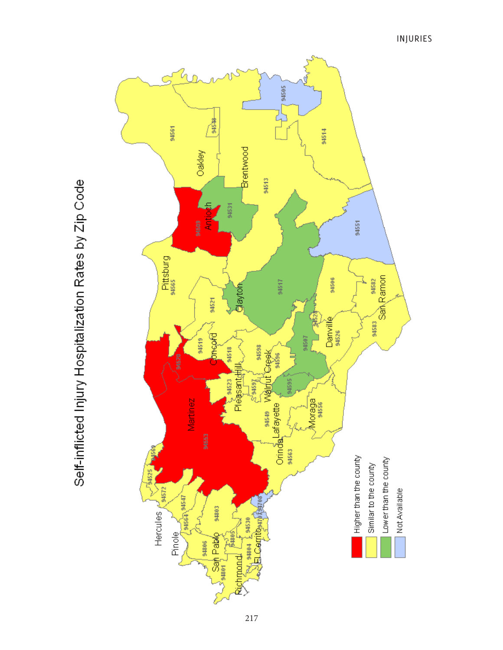

Self-inflicted Injury Hospitalization Rates by Zip Code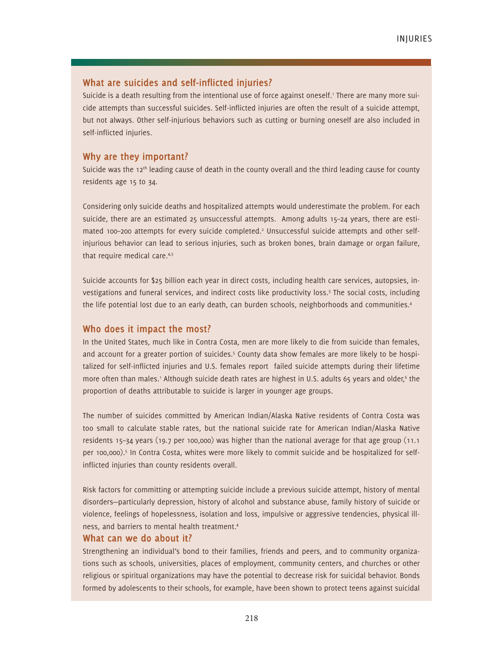### **What are suicides and self-inflicted injuries?**

Suicide is a death resulting from the intentional use of force against oneself.<sup>1</sup> There are many more suicide attempts than successful suicides. Self-inflicted injuries are often the result of a suicide attempt, but not always. Other self-injurious behaviors such as cutting or burning oneself are also included in self-inflicted injuries.

### **Why are they important?**

Suicide was the  $12<sup>th</sup>$  leading cause of death in the county overall and the third leading cause for county residents age 15 to 34.

Considering only suicide deaths and hospitalized attempts would underestimate the problem. For each suicide, there are an estimated 25 unsuccessful attempts. Among adults 15–24 years, there are estimated 100-200 attempts for every suicide completed.<sup>2</sup> Unsuccessful suicide attempts and other selfinjurious behavior can lead to serious injuries, such as broken bones, brain damage or organ failure, that require medical care.<sup>4,5</sup>

Suicide accounts for \$25 billion each year in direct costs, including health care services, autopsies, investigations and funeral services, and indirect costs like productivity loss.<sup>3</sup> The social costs, including the life potential lost due to an early death, can burden schools, neighborhoods and communities.<sup>4</sup>

### **Who does it impact the most?**

In the United States, much like in Contra Costa, men are more likely to die from suicide than females, and account for a greater portion of suicides.<sup>5</sup> County data show females are more likely to be hospitalized for self-inflicted injuries and U.S. females report failed suicide attempts during their lifetime more often than males.<sup>1</sup> Although suicide death rates are highest in U.S. adults 65 years and older,<sup>6</sup> the proportion of deaths attributable to suicide is larger in younger age groups.

The number of suicides committed by American Indian/Alaska Native residents of Contra Costa was too small to calculate stable rates, but the national suicide rate for American Indian/Alaska Native residents 15–34 years (19.7 per 100,000) was higher than the national average for that age group (11.1 per 100,000).<sup>5</sup> In Contra Costa, whites were more likely to commit suicide and be hospitalized for selfinflicted injuries than county residents overall.

Risk factors for committing or attempting suicide include a previous suicide attempt, history of mental disorders—particularly depression, history of alcohol and substance abuse, family history of suicide or violence, feelings of hopelessness, isolation and loss, impulsive or aggressive tendencies, physical illness, and barriers to mental health treatment.4

### **What can we do about it?**

Strengthening an individual's bond to their families, friends and peers, and to community organizations such as schools, universities, places of employment, community centers, and churches or other religious or spiritual organizations may have the potential to decrease risk for suicidal behavior. Bonds formed by adolescents to their schools, for example, have been shown to protect teens against suicidal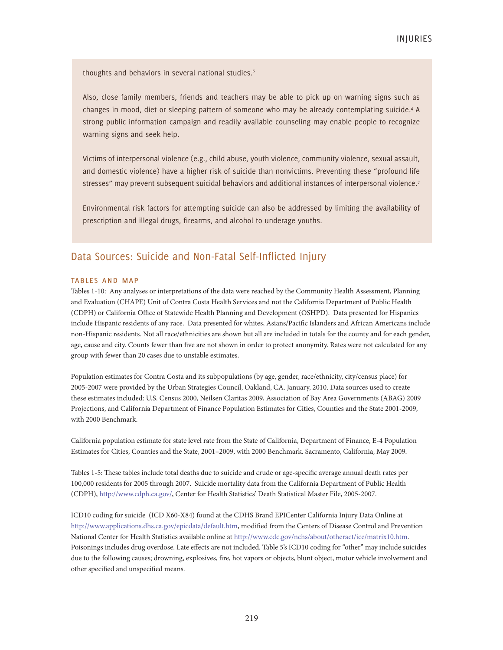thoughts and behaviors in several national studies.<sup>6</sup>

Also, close family members, friends and teachers may be able to pick up on warning signs such as changes in mood, diet or sleeping pattern of someone who may be already contemplating suicide.4 A strong public information campaign and readily available counseling may enable people to recognize warning signs and seek help.

Victims of interpersonal violence (e.g., child abuse, youth violence, community violence, sexual assault, and domestic violence) have a higher risk of suicide than nonvictims. Preventing these "profound life stresses" may prevent subsequent suicidal behaviors and additional instances of interpersonal violence.<sup>7</sup>

Environmental risk factors for attempting suicide can also be addressed by limiting the availability of prescription and illegal drugs, firearms, and alcohol to underage youths.

### Data Sources: Suicide and Non-Fatal Self-Inflicted Injury

#### tables and map

Tables 1-10: Any analyses or interpretations of the data were reached by the Community Health Assessment, Planning and Evaluation (CHAPE) Unit of Contra Costa Health Services and not the California Department of Public Health (CDPH) or California Office of Statewide Health Planning and Development (OSHPD). Data presented for Hispanics include Hispanic residents of any race. Data presented for whites, Asians/Pacific Islanders and African Americans include non-Hispanic residents. Not all race/ethnicities are shown but all are included in totals for the county and for each gender, age, cause and city. Counts fewer than five are not shown in order to protect anonymity. Rates were not calculated for any group with fewer than 20 cases due to unstable estimates.

Population estimates for Contra Costa and its subpopulations (by age, gender, race/ethnicity, city/census place) for 2005-2007 were provided by the Urban Strategies Council, Oakland, CA. January, 2010. Data sources used to create these estimates included: U.S. Census 2000, Neilsen Claritas 2009, Association of Bay Area Governments (ABAG) 2009 Projections, and California Department of Finance Population Estimates for Cities, Counties and the State 2001-2009, with 2000 Benchmark.

California population estimate for state level rate from the State of California, Department of Finance, E-4 Population Estimates for Cities, Counties and the State, 2001–2009, with 2000 Benchmark. Sacramento, California, May 2009.

Tables 1-5: These tables include total deaths due to suicide and crude or age-specific average annual death rates per 100,000 residents for 2005 through 2007. Suicide mortality data from the California Department of Public Health (CDPH), http://www.cdph.ca.gov/, Center for Health Statistics' Death Statistical Master File, 2005-2007.

ICD10 coding for suicide (ICD X60-X84) found at the CDHS Brand EPICenter California Injury Data Online at http://www.applications.dhs.ca.gov/epicdata/default.htm, modified from the Centers of Disease Control and Prevention National Center for Health Statistics available online at http://www.cdc.gov/nchs/about/otheract/ice/matrix10.htm. Poisonings includes drug overdose. Late effects are not included. Table 5's ICD10 coding for "other" may include suicides due to the following causes; drowning, explosives, fire, hot vapors or objects, blunt object, motor vehicle involvement and other specified and unspecified means.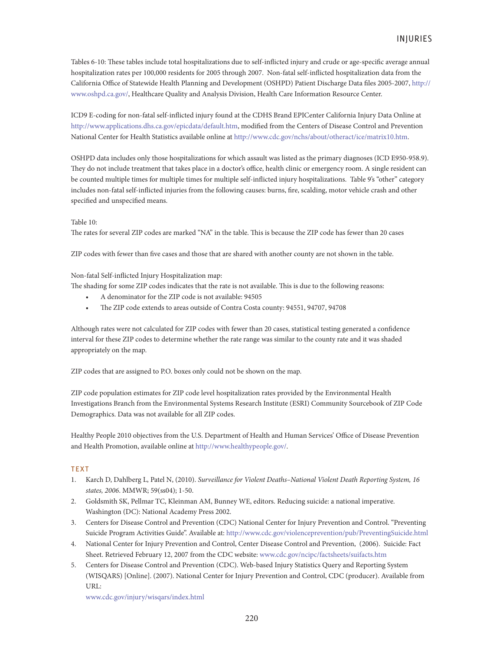Tables 6-10: These tables include total hospitalizations due to self-inflicted injury and crude or age-specific average annual hospitalization rates per 100,000 residents for 2005 through 2007. Non-fatal self-inflicted hospitalization data from the California Office of Statewide Health Planning and Development (OSHPD) Patient Discharge Data files 2005-2007, http:// www.oshpd.ca.gov/, Healthcare Quality and Analysis Division, Health Care Information Resource Center.

ICD9 E-coding for non-fatal self-inflicted injury found at the CDHS Brand EPICenter California Injury Data Online at http://www.applications.dhs.ca.gov/epicdata/default.htm, modified from the Centers of Disease Control and Prevention National Center for Health Statistics available online at http://www.cdc.gov/nchs/about/otheract/ice/matrix10.htm.

OSHPD data includes only those hospitalizations for which assault was listed as the primary diagnoses (ICD E950-958.9). They do not include treatment that takes place in a doctor's office, health clinic or emergency room. A single resident can be counted multiple times for multiple times for multiple self-inflicted injury hospitalizations. Table 9's "other" category includes non-fatal self-inflicted injuries from the following causes: burns, fire, scalding, motor vehicle crash and other specified and unspecified means.

#### Table 10:

The rates for several ZIP codes are marked "NA" in the table. This is because the ZIP code has fewer than 20 cases

ZIP codes with fewer than five cases and those that are shared with another county are not shown in the table.

#### Non-fatal Self-inflicted Injury Hospitalization map:

The shading for some ZIP codes indicates that the rate is not available. This is due to the following reasons:

- A denominator for the ZIP code is not available: 94505
- The ZIP code extends to areas outside of Contra Costa county: 94551, 94707, 94708

Although rates were not calculated for ZIP codes with fewer than 20 cases, statistical testing generated a confidence interval for these ZIP codes to determine whether the rate range was similar to the county rate and it was shaded appropriately on the map.

ZIP codes that are assigned to P.O. boxes only could not be shown on the map.

ZIP code population estimates for ZIP code level hospitalization rates provided by the Environmental Health Investigations Branch from the Environmental Systems Research Institute (ESRI) Community Sourcebook of ZIP Code Demographics. Data was not available for all ZIP codes.

Healthy People 2010 objectives from the U.S. Department of Health and Human Services' Office of Disease Prevention and Health Promotion, available online at http://www.healthypeople.gov/.

### **TEXT**

- 1. Karch D, Dahlberg L, Patel N, (2010). *Surveillance for Violent Deaths–National Violent Death Reporting System, 16 states, 2006*. MMWR; 59(ss04); 1-50.
- 2. Goldsmith SK, Pellmar TC, Kleinman AM, Bunney WE, editors. Reducing suicide: a national imperative. Washington (DC): National Academy Press 2002.
- 3. Centers for Disease Control and Prevention (CDC) National Center for Injury Prevention and Control. "Preventing Suicide Program Activities Guide". Available at: http://www.cdc.gov/violenceprevention/pub/PreventingSuicide.html
- 4. National Center for Injury Prevention and Control, Center Disease Control and Prevention, (2006). Suicide: Fact Sheet. Retrieved February 12, 2007 from the CDC website: www.cdc.gov/ncipc/factsheets/suifacts.htm
- 5. Centers for Disease Control and Prevention (CDC). Web-based Injury Statistics Query and Reporting System (WISQARS) [Online]. (2007). National Center for Injury Prevention and Control, CDC (producer). Available from URL:

www.cdc.gov/injury/wisqars/index.html